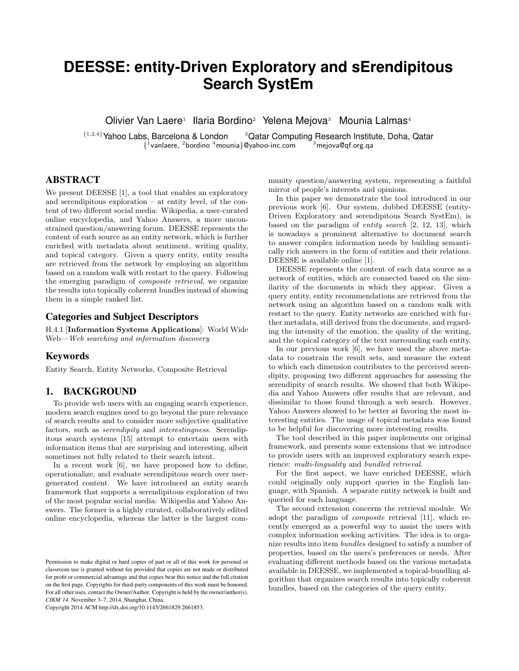# **DEESSE: entity-Driven Exploratory and sErendipitous Search SystEm**

Olivier Van Laere<sup>1</sup> Ilaria Bordino<sup>2</sup> Yelena Mejova<sup>3</sup> Mounia Lalmas<sup>4</sup>

{1,2,4}Yahoo Labs, Barcelona & London <sup>3</sup>Qatar Computing Research Institute, Doha, Qatar  $\{^{1}$ vanlaere,  $^{2}$ bordino  $^{4}$ mounia}@yahoo-inc.com  $\qquad \qquad ^{3}$ mejova@qf.org.qa

# ABSTRACT

We present DEESSE [1], a tool that enables an exploratory and serendipitous exploration – at entity level, of the content of two different social media: Wikipedia, a user-curated online encyclopedia, and Yahoo Answers, a more unconstrained question/answering forum. DEESSE represents the content of each source as an entity network, which is further enriched with metadata about sentiment, writing quality, and topical category. Given a query entity, entity results are retrieved from the network by employing an algorithm based on a random walk with restart to the query. Following the emerging paradigm of composite retrieval, we organize the results into topically coherent bundles instead of showing them in a simple ranked list.

## Categories and Subject Descriptors

H.4.1 [Information Systems Applications]: World Wide Web—Web searching and information discovery

### Keywords

Entity Search, Entity Networks, Composite Retrieval

# 1. BACKGROUND

To provide web users with an engaging search experience, modern search engines need to go beyond the pure relevance of search results and to consider more subjective qualitative factors, such as serendipity and interestingness. Serendipitous search systems [15] attempt to entertain users with information items that are surprising and interesting, albeit sometimes not fully related to their search intent.

In a recent work [6], we have proposed how to define, operationalize, and evaluate serendipitous search over usergenerated content. We have introduced an entity search framework that supports a serendipitous exploration of two of the most popular social media: Wikipedia and Yahoo Answers. The former is a highly curated, collaboratively edited online encyclopedia, whereas the latter is the largest com-

Copyright 2014 ACM http://dx.doi.org/10.1145/2661829.2661853.

munity question/answering system, representing a faithful mirror of people's interests and opinions.

In this paper we demonstrate the tool introduced in our previous work [6]. Our system, dubbed DEESSE (entity-Driven Exploratory and serendipitous Search SystEm), is based on the paradigm of entity search [2, 12, 13], which is nowadays a prominent alternative to document search to answer complex information needs by building semantically rich answers in the form of entities and their relations. DEESSE is available online [1].

DEESSE represents the content of each data source as a network of entities, which are connected based on the similarity of the documents in which they appear. Given a query entity, entity recommendations are retrieved from the network using an algorithm based on a random walk with restart to the query. Entity networks are enriched with further metadata, still derived from the documents, and regarding the intensity of the emotion, the quality of the writing, and the topical category of the text surrounding each entity.

In our previous work [6], we have used the above metadata to constrain the result sets, and measure the extent to which each dimension contributes to the perceived serendipity, proposing two different approaches for assessing the serendipity of search results. We showed that both Wikipedia and Yahoo Answers offer results that are relevant, and dissimilar to those found through a web search. However, Yahoo Answers showed to be better at favoring the most interesting entities. The usage of topical metadata was found to be helpful for discovering more interesting results.

The tool described in this paper implements our original framework, and presents some extensions that we introduce to provide users with an improved exploratory search experience: multi-linguality and bundled retrieval.

For the first aspect, we have enriched DEESSE, which could originally only support queries in the English language, with Spanish. A separate entity network is built and queried for each language.

The second extension concerns the retrieval module. We adopt the paradigm of composite retrieval [11], which recently emerged as a powerful way to assist the users with complex information seeking activities. The idea is to organize results into item bundles designed to satisfy a number of properties, based on the users's preferences or needs. After evaluating different methods based on the various metadata available in DEESSE, we implemented a topical-bundling algorithm that organizes search results into topically coherent bundles, based on the categories of the query entity.

Permission to make digital or hard copies of part or all of this work for personal or classroom use is granted without fee provided that copies are not made or distributed for profit or commercial advantage and that copies bear this notice and the full citation on the first page. Copyrights for third-party components of this work must be honored. For all other uses, contact the Owner/Author. Copyright is held by the owner/author(s). *CIKM'14,* November 3–7, 2014, Shanghai, China.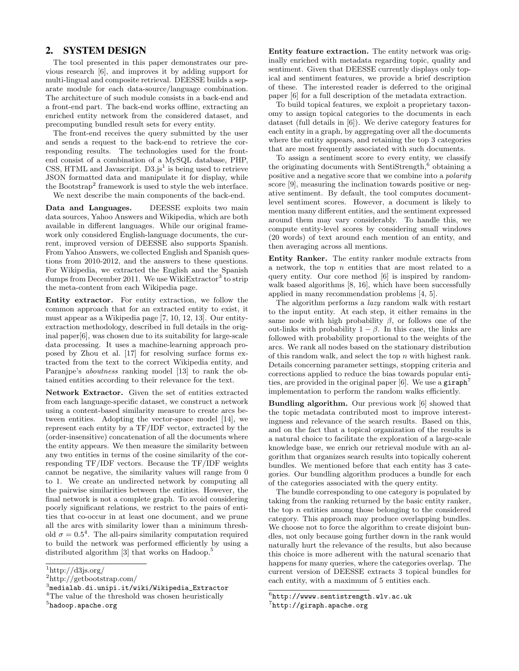# 2. SYSTEM DESIGN

The tool presented in this paper demonstrates our previous research [6], and improves it by adding support for multi-lingual and composite retrieval. DEESSE builds a separate module for each data-source/language combination. The architecture of such module consists in a back-end and a front-end part. The back-end works offline, extracting an enriched entity network from the considered dataset, and precomputing bundled result sets for every entity.

The front-end receives the query submitted by the user and sends a request to the back-end to retrieve the corresponding results. The technologies used for the frontend consist of a combination of a MySQL database, PHP, CSS, HTML and Javascript.  $D3.js<sup>1</sup>$  is being used to retrieve JSON formatted data and manipulate it for display, while the Bootstrap<sup>2</sup> framework is used to style the web interface. We next describe the main components of the back-end.

Data and Languages. DEESSE exploits two main data sources, Yahoo Answers and Wikipedia, which are both available in different languages. While our original framework only considered English-language documents, the current, improved version of DEESSE also supports Spanish. From Yahoo Answers, we collected English and Spanish questions from 2010-2012, and the answers to these questions. For Wikipedia, we extracted the English and the Spanish dumps from December 2011. We use WikiExtractor<sup>3</sup> to strip the meta-content from each Wikipedia page.

Entity extractor. For entity extraction, we follow the common approach that for an extracted entity to exist, it must appear as a Wikipedia page [7, 10, 12, 13]. Our entityextraction methodology, described in full details in the original paper[6], was chosen due to its suitability for large-scale data processing. It uses a machine-learning approach proposed by Zhou et al. [17] for resolving surface forms extracted from the text to the correct Wikipedia entity, and Paranjpe's aboutness ranking model [13] to rank the obtained entities according to their relevance for the text.

Network Extractor. Given the set of entities extracted from each language-specific dataset, we construct a network using a content-based similarity measure to create arcs between entities. Adopting the vector-space model [14], we represent each entity by a TF/IDF vector, extracted by the (order-insensitive) concatenation of all the documents where the entity appears. We then measure the similarity between any two entities in terms of the cosine similarity of the corresponding TF/IDF vectors. Because the TF/IDF weights cannot be negative, the similarity values will range from 0 to 1. We create an undirected network by computing all the pairwise similarities between the entities. However, the final network is not a complete graph. To avoid considering poorly significant relations, we restrict to the pairs of entities that co-occur in at least one document, and we prune all the arcs with similarity lower than a minimum threshold  $\sigma = 0.5^4$ . The all-pairs similarity computation required to build the network was performed efficiently by using a distributed algorithm [3] that works on Hadoop.<sup>5</sup>

Entity feature extraction. The entity network was originally enriched with metadata regarding topic, quality and sentiment. Given that DEESSE currently displays only topical and sentiment features, we provide a brief description of these. The interested reader is deferred to the original paper [6] for a full description of the metadata extraction.

To build topical features, we exploit a proprietary taxonomy to assign topical categories to the documents in each dataset (full details in [6]). We derive category features for each entity in a graph, by aggregating over all the documents where the entity appears, and retaining the top 3 categories that are most frequently associated with such documents.

To assign a sentiment score to every entity, we classify the originating documents with SentiStrength,<sup>6</sup> obtaining a positive and a negative score that we combine into a polarity score [9], measuring the inclination towards positive or negative sentiment. By default, the tool computes documentlevel sentiment scores. However, a document is likely to mention many different entities, and the sentiment expressed around them may vary considerably. To handle this, we compute entity-level scores by considering small windows (20 words) of text around each mention of an entity, and then averaging across all mentions.

Entity Ranker. The entity ranker module extracts from a network, the top n entities that are most related to a query entity. Our core method [6] is inspired by randomwalk based algorithms [8, 16], which have been successfully applied in many recommendation problems [4, 5].

The algorithm performs a lazy random walk with restart to the input entity. At each step, it either remains in the same node with high probability  $\beta$ , or follows one of the out-links with probability  $1 - \beta$ . In this case, the links are followed with probability proportional to the weights of the arcs. We rank all nodes based on the stationary distribution of this random walk, and select the top n with highest rank. Details concerning parameter settings, stopping criteria and corrections applied to reduce the bias towards popular entities, are provided in the original paper  $[6]$ . We use a giraph<sup>7</sup> implementation to perform the random walks efficiently.

Bundling algorithm. Our previous work [6] showed that the topic metadata contributed most to improve interestingness and relevance of the search results. Based on this, and on the fact that a topical organization of the results is a natural choice to facilitate the exploration of a large-scale knowledge base, we enrich our retrieval module with an algorithm that organizes search results into topically coherent bundles. We mentioned before that each entity has 3 categories. Our bundling algorithm produces a bundle for each of the categories associated with the query entity.

The bundle corresponding to one category is populated by taking from the ranking returned by the basic entity ranker, the top  $n$  entities among those belonging to the considered category. This approach may produce overlapping bundles. We choose not to force the algorithm to create disjoint bundles, not only because going further down in the rank would naturally hurt the relevance of the results, but also because this choice is more adherent with the natural scenario that happens for many queries, where the categories overlap. The current version of DEESSE extracts 3 topical bundles for each entity, with a maximum of 5 entities each.

 $1$ http://d3js.org/

<sup>2</sup>http://getbootstrap.com/

 $^3$ medialab.di.unipi.it/wiki/Wikipedia\_Extractor

<sup>&</sup>lt;sup>4</sup>The value of the threshold was chosen heuristically

 $^5$ hadoop.apache.org

 $^6$ http://wwww.sentistrength.wlv.ac.uk

 $7$ http://giraph.apache.org